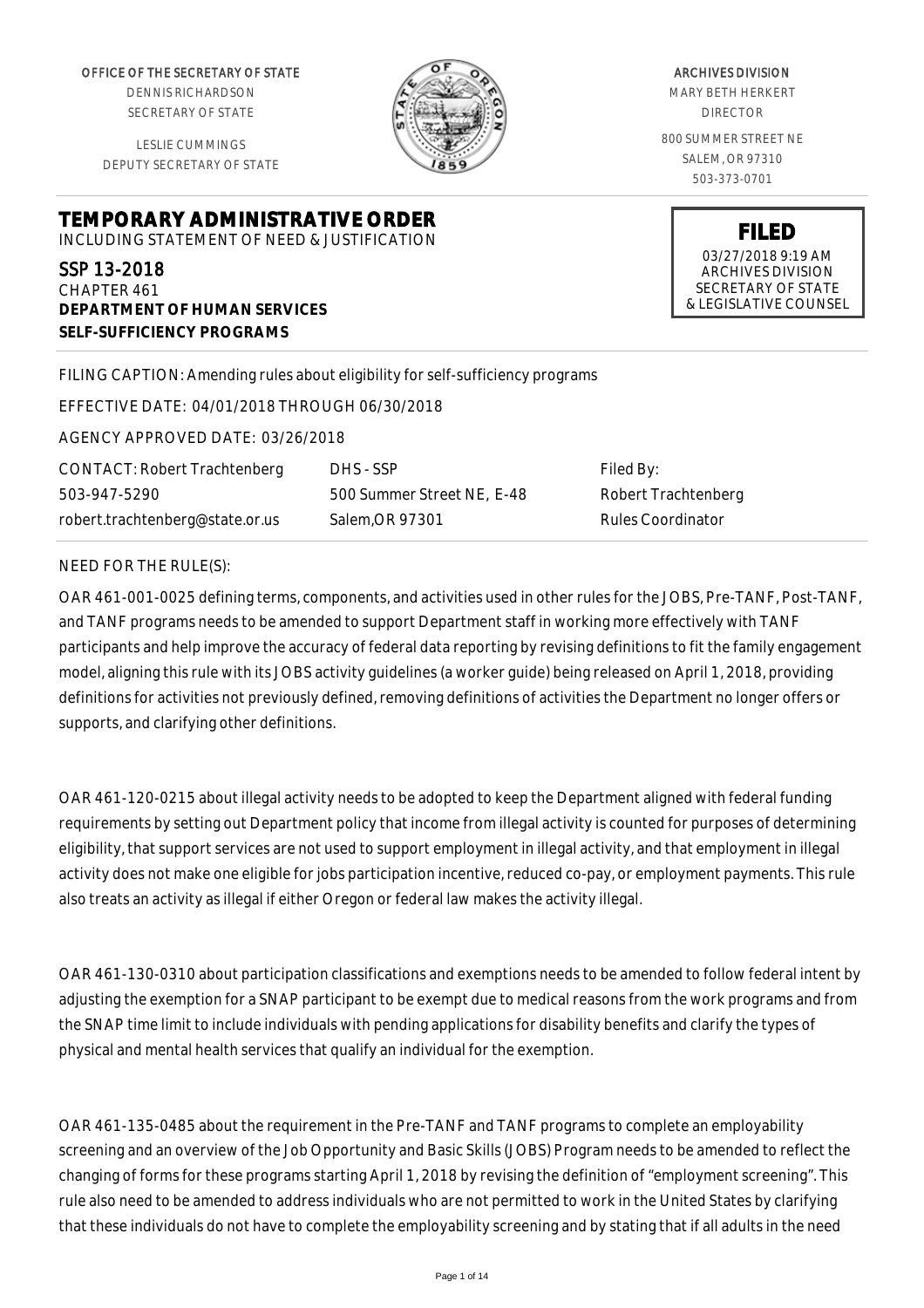OFFICE OF THE SECRETARY OF STATE

DENNIS RICHARDSON SECRETARY OF STATE

LESLIE CUMMINGS DEPUTY SECRETARY OF STATE

**DEPARTMENT OF HUMAN SERVICES**

**SELF-SUFFICIENCY PROGRAMS**



ARCHIVES DIVISION MARY BETH HERKERT DIRECTOR 800 SUMMER STREET NE SALEM, OR 97310 503-373-0701

> **FILED** 03/27/2018 9:19 AM ARCHIVES DIVISION SECRETARY OF STATE & LEGISLATIVE COUNSEL

FILING CAPTION: Amending rules about eligibility for self-sufficiency programs

EFFECTIVE DATE: 04/01/2018 THROUGH 06/30/2018

**TEMPORARY ADMINISTRATIVE ORDER** INCLUDING STATEMENT OF NEED & JUSTIFICATION

AGENCY APPROVED DATE: 03/26/2018

CONTACT: Robert Trachtenberg 503-947-5290 robert.trachtenberg@state.or.us

DHS - SSP 500 Summer Street NE, E-48 Salem,OR 97301

Filed By: Robert Trachtenberg Rules Coordinator

#### NEED FOR THE RULE(S):

SSP 13-2018 CHAPTER 461

OAR 461-001-0025 defining terms, components, and activities used in other rules for the JOBS, Pre-TANF, Post-TANF, and TANF programs needs to be amended to support Department staff in working more effectively with TANF participants and help improve the accuracy of federal data reporting by revising definitions to fit the family engagement model, aligning this rule with its JOBS activity guidelines (a worker guide) being released on April 1, 2018, providing definitions for activities not previously defined, removing definitions of activities the Department no longer offers or supports, and clarifying other definitions.

OAR 461-120-0215 about illegal activity needs to be adopted to keep the Department aligned with federal funding requirements by setting out Department policy that income from illegal activity is counted for purposes of determining eligibility, that support services are not used to support employment in illegal activity, and that employment in illegal activity does not make one eligible for jobs participation incentive, reduced co-pay, or employment payments. This rule also treats an activity as illegal if either Oregon or federal law makes the activity illegal.

OAR 461-130-0310 about participation classifications and exemptions needs to be amended to follow federal intent by adjusting the exemption for a SNAP participant to be exempt due to medical reasons from the work programs and from the SNAP time limit to include individuals with pending applications for disability benefits and clarify the types of physical and mental health services that qualify an individual for the exemption.

OAR 461-135-0485 about the requirement in the Pre-TANF and TANF programs to complete an employability screening and an overview of the Job Opportunity and Basic Skills (JOBS) Program needs to be amended to reflect the changing of forms for these programs starting April 1, 2018 by revising the definition of "employment screening". This rule also need to be amended to address individuals who are not permitted to work in the United States by clarifying that these individuals do not have to complete the employability screening and by stating that if all adults in the need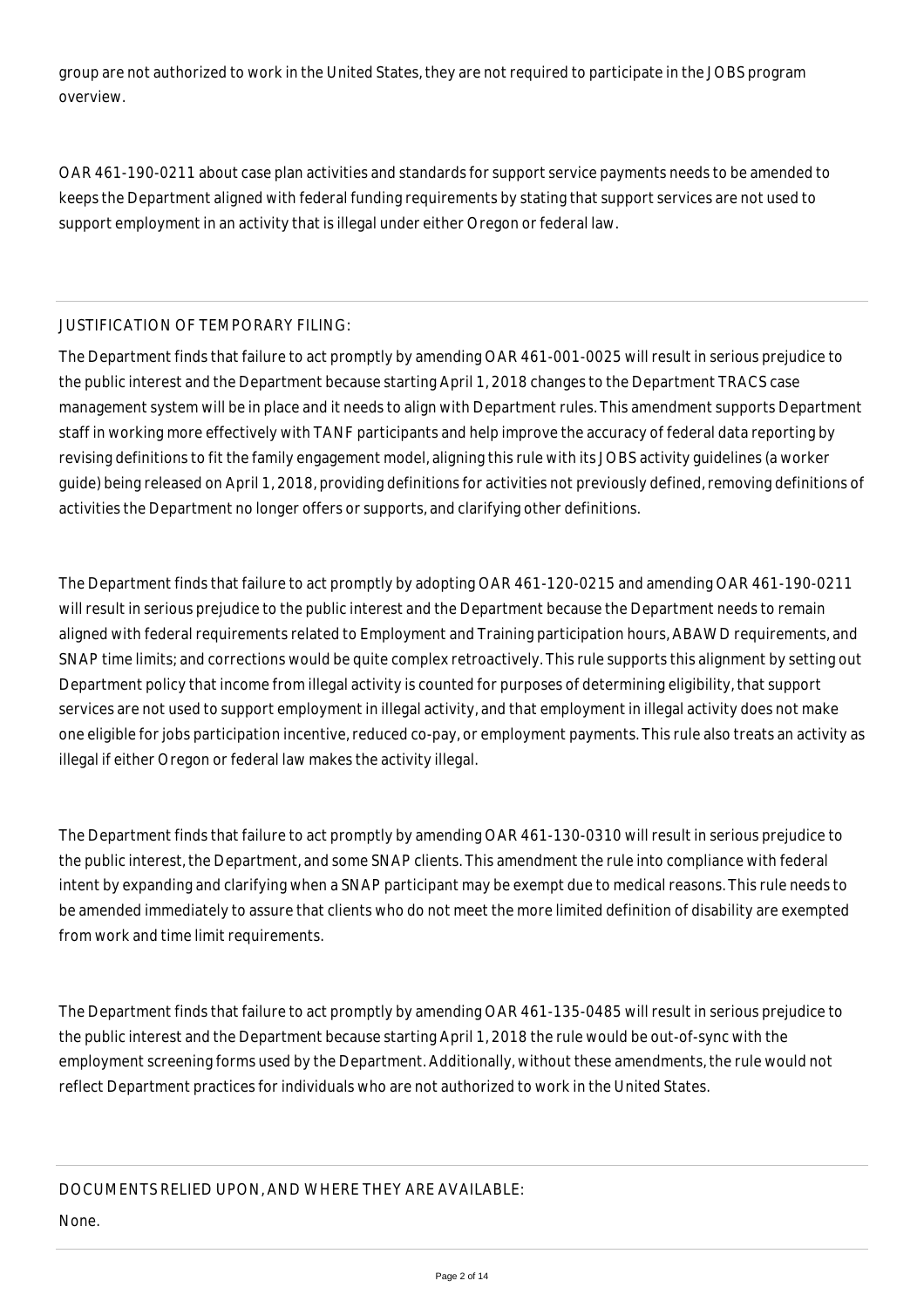group are not authorized to work in the United States, they are not required to participate in the JOBS program overview.

OAR 461-190-0211 about case plan activities and standards for support service payments needs to be amended to keeps the Department aligned with federal funding requirements by stating that support services are not used to support employment in an activity that is illegal under either Oregon or federal law.

## JUSTIFICATION OF TEMPORARY FILING:

The Department finds that failure to act promptly by amending OAR 461-001-0025 will result in serious prejudice to the public interest and the Department because starting April 1, 2018 changes to the Department TRACS case management system will be in place and it needs to align with Department rules. This amendment supports Department staff in working more effectively with TANF participants and help improve the accuracy of federal data reporting by revising definitions to fit the family engagement model, aligning this rule with its JOBS activity guidelines (a worker guide) being released on April 1, 2018, providing definitions for activities not previously defined, removing definitions of activities the Department no longer offers or supports, and clarifying other definitions.

The Department finds that failure to act promptly by adopting OAR 461-120-0215 and amending OAR 461-190-0211 will result in serious prejudice to the public interest and the Department because the Department needs to remain aligned with federal requirements related to Employment and Training participation hours, ABAWD requirements, and SNAP time limits; and corrections would be quite complex retroactively. This rule supports this alignment by setting out Department policy that income from illegal activity is counted for purposes of determining eligibility, that support services are not used to support employment in illegal activity, and that employment in illegal activity does not make one eligible for jobs participation incentive, reduced co-pay, or employment payments. This rule also treats an activity as illegal if either Oregon or federal law makes the activity illegal.

The Department finds that failure to act promptly by amending OAR 461-130-0310 will result in serious prejudice to the public interest, the Department, and some SNAP clients. This amendment the rule into compliance with federal intent by expanding and clarifying when a SNAP participant may be exempt due to medical reasons. This rule needs to be amended immediately to assure that clients who do not meet the more limited definition of disability are exempted from work and time limit requirements.

The Department finds that failure to act promptly by amending OAR 461-135-0485 will result in serious prejudice to the public interest and the Department because starting April 1, 2018 the rule would be out-of-sync with the employment screening forms used by the Department. Additionally, without these amendments, the rule would not reflect Department practices for individuals who are not authorized to work in the United States.

DOCUMENTS RELIED UPON, AND WHERE THEY ARE AVAILABLE:

None.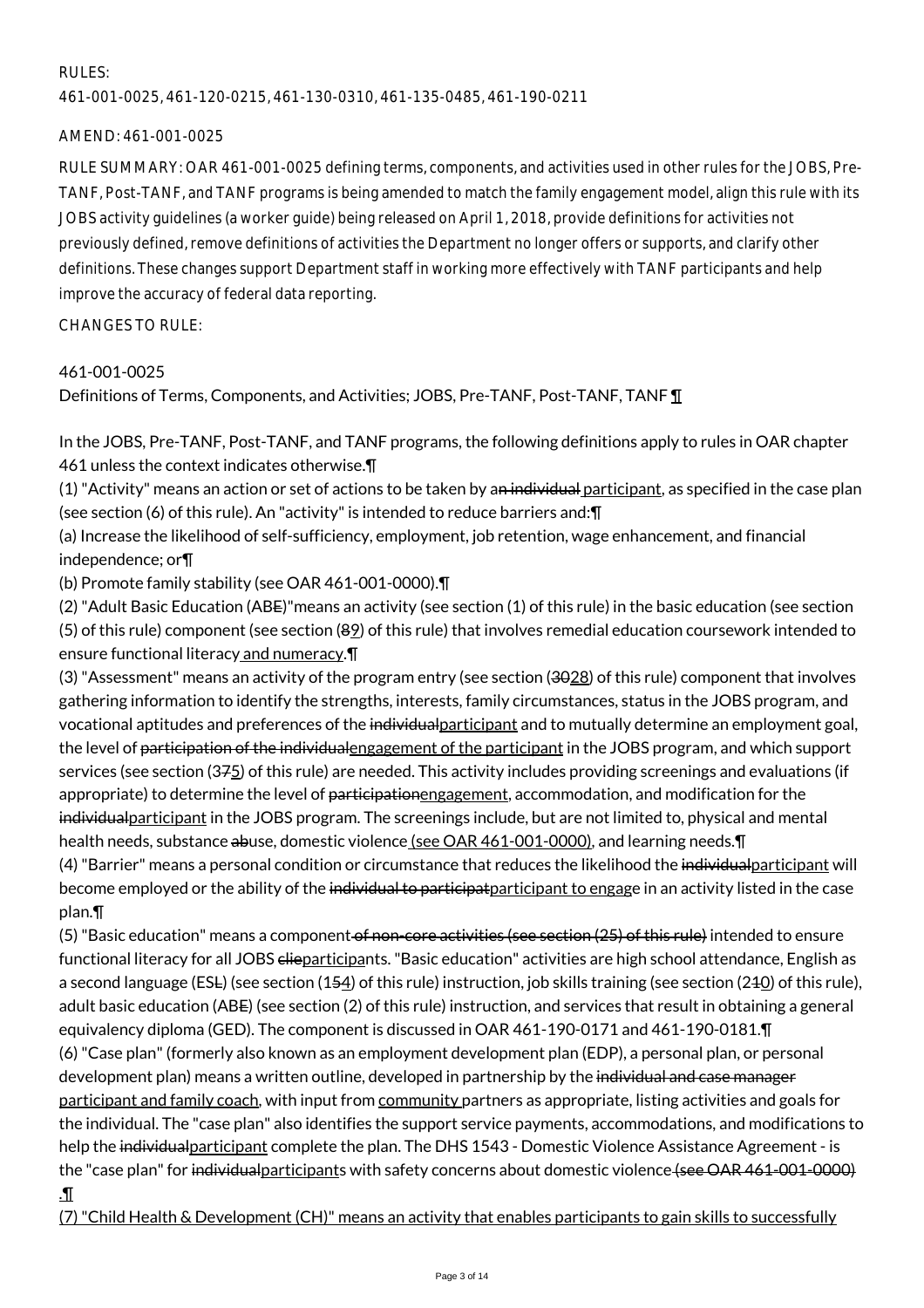## RULES:

461-001-0025, 461-120-0215, 461-130-0310, 461-135-0485, 461-190-0211

## AMEND: 461-001-0025

RULE SUMMARY: OAR 461-001-0025 defining terms, components, and activities used in other rules for the JOBS, Pre-TANF, Post-TANF, and TANF programs is being amended to match the family engagement model, align this rule with its JOBS activity guidelines (a worker guide) being released on April 1, 2018, provide definitions for activities not previously defined, remove definitions of activities the Department no longer offers or supports, and clarify other definitions. These changes support Department staff in working more effectively with TANF participants and help improve the accuracy of federal data reporting.

CHANGES TO RULE:

# 461-001-0025

Definitions of Terms, Components, and Activities; JOBS, Pre-TANF, Post-TANF, TANF ¶

In the JOBS, Pre-TANF, Post-TANF, and TANF programs, the following definitions apply to rules in OAR chapter 461 unless the context indicates otherwise.¶

 $(1)$  "Activity" means an action or set of actions to be taken by an individual participant, as specified in the case plan (see section (6) of this rule). An "activity" is intended to reduce barriers and:¶

(a) Increase the likelihood of self-sufficiency, employment, job retention, wage enhancement, and financial independence; or¶

(b) Promote family stability (see OAR 461-001-0000).¶

(2) "Adult Basic Education (ABE)"means an activity (see section (1) of this rule) in the basic education (see section (5) of this rule) component (see section (89) of this rule) that involves remedial education coursework intended to ensure functional literacy and numeracy.¶

(3) "Assessment" means an activity of the program entry (see section (3028) of this rule) component that involves gathering information to identify the strengths, interests, family circumstances, status in the JOBS program, and vocational aptitudes and preferences of the individual participant and to mutually determine an employment goal, the level of participation of the individualengagement of the participant in the JOBS program, and which support services (see section (375) of this rule) are needed. This activity includes providing screenings and evaluations (if appropriate) to determine the level of participationengagement, accommodation, and modification for the individualparticipant in the JOBS program. The screenings include, but are not limited to, physical and mental health needs, substance abuse, domestic violence (see OAR 461-001-0000), and learning needs.¶ (4) "Barrier" means a personal condition or circumstance that reduces the likelihood the individualparticipant will become employed or the ability of the individual to participat <u>participant to engage</u> in an activity listed in the case

plan.¶

(5) "Basic education" means a component <del>of non-core activities (see section (25) of this rule)</del> intended to ensure functional literacy for all JOBS clieparticipants. "Basic education" activities are high school attendance, English as a second language (ESL) (see section (154) of this rule) instruction, job skills training (see section (240) of this rule), adult basic education (ABE) (see section (2) of this rule) instruction, and services that result in obtaining a general equivalency diploma (GED). The component is discussed in OAR 461-190-0171 and 461-190-0181.¶ (6) "Case plan" (formerly also known as an employment development plan (EDP), a personal plan, or personal development plan) means a written outline, developed in partnership by the individual and case manager participant and family coach, with input from community partners as appropriate, listing activities and goals for the individual. The "case plan" also identifies the support service payments, accommodations, and modifications to help the individual participant complete the plan. The DHS 1543 - Domestic Violence Assistance Agreement - is the "case plan" for individual participants with safety concerns about domestic violence (see OAR 461-001-0000) .¶

(7) "Child Health & Development (CH)" means an activity that enables participants to gain skills to successfully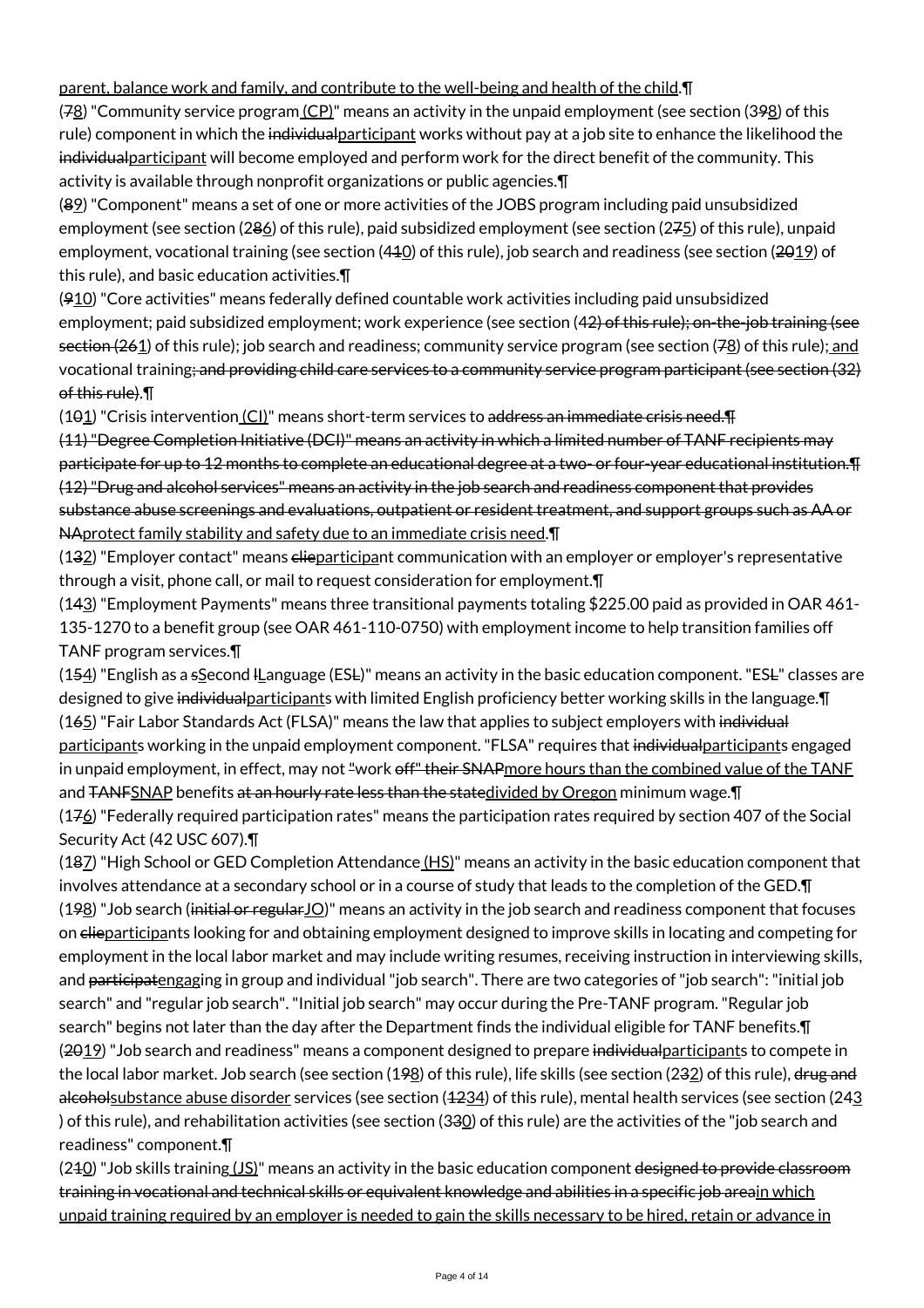# parent, balance work and family, and contribute to the well-being and health of the child.¶

(78) "Community service program (CP)" means an activity in the unpaid employment (see section (398) of this rule) component in which the individualparticipant works without pay at a job site to enhance the likelihood the individual participant will become employed and perform work for the direct benefit of the community. This activity is available through nonprofit organizations or public agencies.¶

(89) "Component" means a set of one or more activities of the JOBS program including paid unsubsidized employment (see section (286) of this rule), paid subsidized employment (see section (275) of this rule), unpaid employment, vocational training (see section (440) of this rule), job search and readiness (see section (2019) of this rule), and basic education activities.¶

 $(910)$  "Core activities" means federally defined countable work activities including paid unsubsidized employment; paid subsidized employment; work experience (see section (42) of this rule); on-the-job training (see section (261) of this rule); job search and readiness; community service program (see section (78) of this rule); and vocational training; and providing child care services to a community service program participant (see section (32) of this rule).¶

(101) "Crisis intervention (CI)" means short-term services to address an immediate crisis need.¶

(11) "Degree Completion Initiative (DCI)" means an activity in which a limited number of TANF recipients may participate for up to 12 months to complete an educational degree at a two- or four-year educational institution.¶ (12) "Drug and alcohol services" means an activity in the job search and readiness component that provides substance abuse screenings and evaluations, outpatient or resident treatment, and support groups such as AA or NAprotect family stability and safety due to an immediate crisis need.¶

 $(132)$  "Employer contact" means elieparticipant communication with an employer or employer's representative through a visit, phone call, or mail to request consideration for employment.¶

(143) "Employment Payments" means three transitional payments totaling \$225.00 paid as provided in OAR 461- 135-1270 to a benefit group (see OAR 461-110-0750) with employment income to help transition families off TANF program services.¶

 $(154)$  "English as a sSecond I Language (ESL)" means an activity in the basic education component. "ESL" classes are designed to give individualparticipants with limited English proficiency better working skills in the language. [1] (165) "Fair Labor Standards Act (FLSA)" means the law that applies to subject employers with individual participants working in the unpaid employment component. "FLSA" requires that individual participants engaged in unpaid employment, in effect, may not "work off" their SNAPmore hours than the combined value of the TANE and TANFSNAP benefits at an hourly rate less than the statedivided by Oregon minimum wage. I (176) "Federally required participation rates" means the participation rates required by section 407 of the Social

Security Act (42 USC 607).¶

(187) "High School or GED Completion Attendance  $(HS)$ " means an activity in the basic education component that involves attendance at a secondary school or in a course of study that leads to the completion of the GED.¶ (198) "Job search (initial or regularJO)" means an activity in the job search and readiness component that focuses on elieparticipants looking for and obtaining employment designed to improve skills in locating and competing for employment in the local labor market and may include writing resumes, receiving instruction in interviewing skills, and participatengaging in group and individual "job search". There are two categories of "job search": "initial job search" and "regular job search". "Initial job search" may occur during the Pre-TANF program. "Regular job search" begins not later than the day after the Department finds the individual eligible for TANF benefits.¶ (2019) "Job search and readiness" means a component designed to prepare individual participants to compete in the local labor market. Job search (see section (198) of this rule), life skills (see section (232) of this rule), drug and alcoholsubstance abuse disorder services (see section (4234) of this rule), mental health services (see section (243 ) of this rule), and rehabilitation activities (see section (330) of this rule) are the activities of the "job search and readiness" component.¶

 $(240)$  "Job skills training  $(JS)$ " means an activity in the basic education component designed to provide classroom training in vocational and technical skills or equivalent knowledge and abilities in a specific job areain which unpaid training required by an employer is needed to gain the skills necessary to be hired, retain or advance in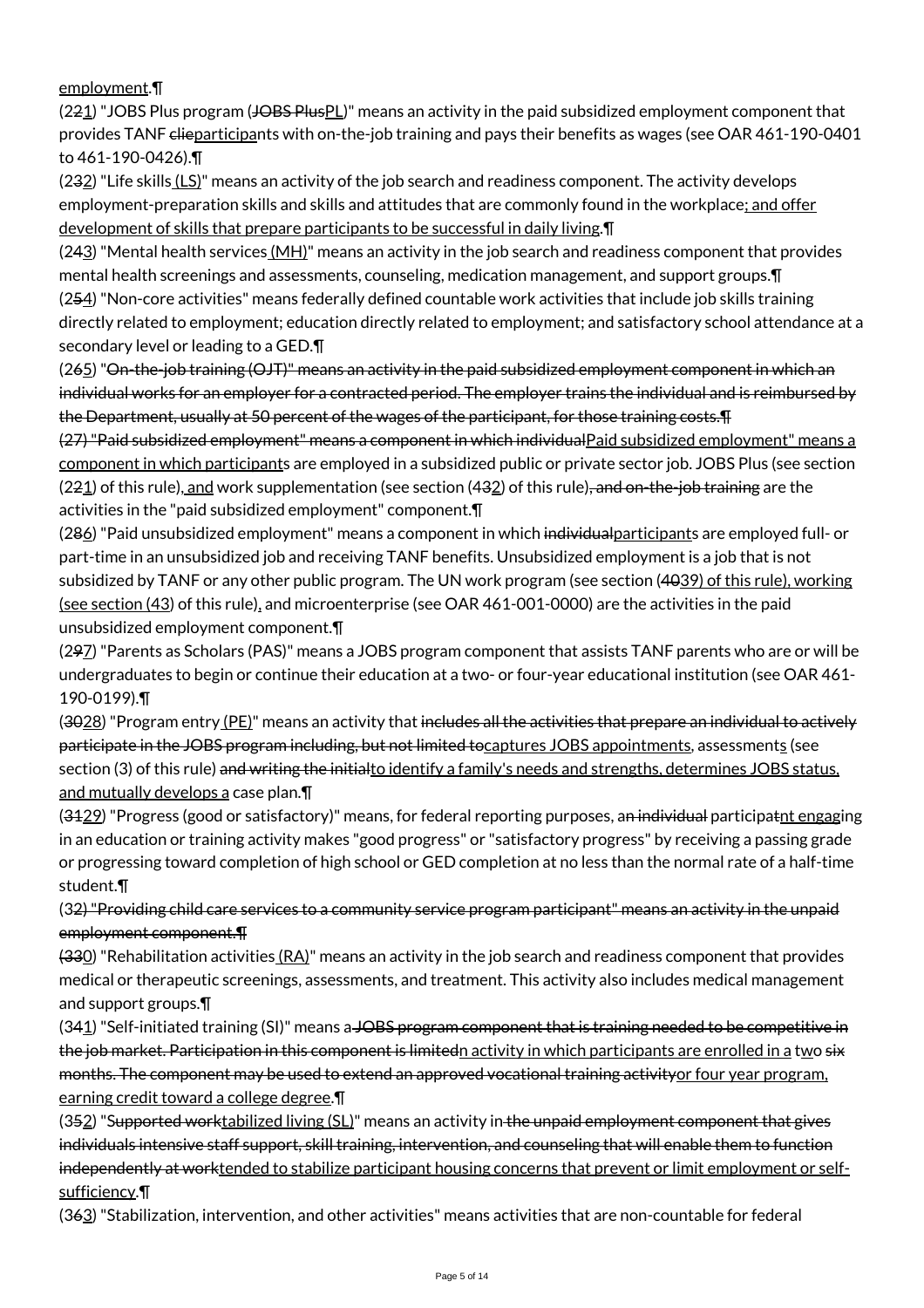employment.¶

(221) "JOBS Plus program (JOBS PlusPL)" means an activity in the paid subsidized employment component that provides TANF clieparticipants with on-the-job training and pays their benefits as wages (see OAR 461-190-0401 to 461-190-0426).¶

(232) "Life skills (LS)" means an activity of the job search and readiness component. The activity develops employment-preparation skills and skills and attitudes that are commonly found in the workplace; and offer development of skills that prepare participants to be successful in daily living.¶

 $(243)$  "Mental health services  $(MH)$ " means an activity in the job search and readiness component that provides mental health screenings and assessments, counseling, medication management, and support groups.¶ (254) "Non-core activities" means federally defined countable work activities that include job skills training directly related to employment; education directly related to employment; and satisfactory school attendance at a secondary level or leading to a GED.¶

(265) "On-the-job training (OJT)" means an activity in the paid subsidized employment component in which an individual works for an employer for a contracted period. The employer trains the individual and is reimbursed by the Department, usually at 50 percent of the wages of the participant, for those training costs.¶

(27) "Paid subsidized employment" means a component in which individualPaid subsidized employment" means a component in which participants are employed in a subsidized public or private sector job. JOBS Plus (see section (221) of this rule), and work supplementation (see section (432) of this rule), and on-the-job training are the activities in the "paid subsidized employment" component.¶

(286) "Paid unsubsidized employment" means a component in which individual participants are employed full- or part-time in an unsubsidized job and receiving TANF benefits. Unsubsidized employment is a job that is not subsidized by TANF or any other public program. The UN work program (see section (4039) of this rule), working (see section (43) of this rule), and microenterprise (see OAR 461-001-0000) are the activities in the paid unsubsidized employment component.¶

(297) "Parents as Scholars (PAS)" means a JOBS program component that assists TANF parents who are or will be undergraduates to begin or continue their education at a two- or four-year educational institution (see OAR 461- 190-0199).¶

(3028) "Program entry (PE)" means an activity that includes all the activities that prepare an individual to actively participate in the JOBS program including, but not limited tocaptures JOBS appointments, assessments (see section (3) of this rule) and writing the initialto identify a family's needs and strengths, determines JOBS status, and mutually develops a case plan.¶

(3429) "Progress (good or satisfactory)" means, for federal reporting purposes, an individual participatnt engaging in an education or training activity makes "good progress" or "satisfactory progress" by receiving a passing grade or progressing toward completion of high school or GED completion at no less than the normal rate of a half-time student.¶

(32) "Providing child care services to a community service program participant" means an activity in the unpaid employment component.¶

 $(330)$  "Rehabilitation activities  $(RA)$ " means an activity in the job search and readiness component that provides medical or therapeutic screenings, assessments, and treatment. This activity also includes medical management and support groups.¶

(341) "Self-initiated training (SI)" means a JOBS program component that is training needed to be competitive in the job market. Participation in this component is limitedn activity in which participants are enrolled in a two six months. The component may be used to extend an approved vocational training activityor four year program, earning credit toward a college degree.¶

(352) "Supported worktabilized living (SL)" means an activity in the unpaid employment component that gives individuals intensive staff support, skill training, intervention, and counseling that will enable them to function independently at worktended to stabilize participant housing concerns that prevent or limit employment or selfsufficiency.¶

(363) "Stabilization, intervention, and other activities" means activities that are non-countable for federal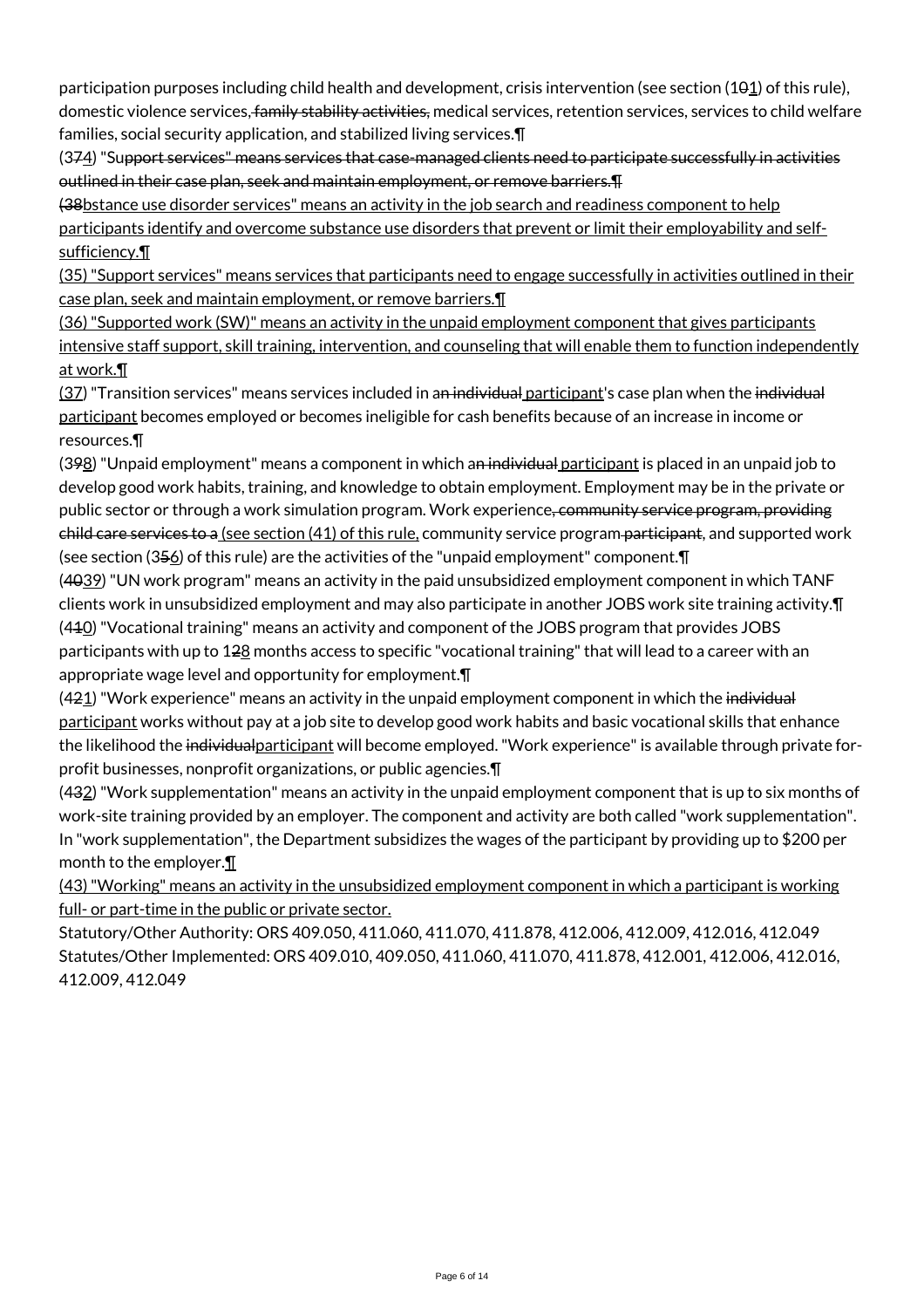participation purposes including child health and development, crisis intervention (see section  $(101)$  of this rule), domestic violence services, family stability activities, medical services, retention services, services to child welfare families, social security application, and stabilized living services.¶

(374) "Support services" means services that case-managed clients need to participate successfully in activities outlined in their case plan, seek and maintain employment, or remove barriers.¶

(38bstance use disorder services" means an activity in the job search and readiness component to help participants identify and overcome substance use disorders that prevent or limit their employability and selfsufficiency.¶

(35) "Support services" means services that participants need to engage successfully in activities outlined in their case plan, seek and maintain employment, or remove barriers.¶

(36) "Supported work (SW)" means an activity in the unpaid employment component that gives participants intensive staff support, skill training, intervention, and counseling that will enable them to function independently at work.¶

(37) "Transition services" means services included in a<del>n individual participant</del>'s case plan when the individual participant becomes employed or becomes ineligible for cash benefits because of an increase in income or resources.¶

(398) "Unpaid employment" means a component in which an individual participant is placed in an unpaid job to develop good work habits, training, and knowledge to obtain employment. Employment may be in the private or public sector or through a work simulation program. Work experience, community service program, providing child care services to a (see section (41) of this rule, community service program participant, and supported work (see section (356) of this rule) are the activities of the "unpaid employment" component. [I]

(4039) "UN work program" means an activity in the paid unsubsidized employment component in which TANF clients work in unsubsidized employment and may also participate in another JOBS work site training activity.¶ (410) "Vocational training" means an activity and component of the JOBS program that provides JOBS participants with up to 128 months access to specific "vocational training" that will lead to a career with an appropriate wage level and opportunity for employment.¶

(421) "Work experience" means an activity in the unpaid employment component in which the individual participant works without pay at a job site to develop good work habits and basic vocational skills that enhance the likelihood the individualparticipant will become employed. "Work experience" is available through private forprofit businesses, nonprofit organizations, or public agencies.¶

(432) "Work supplementation" means an activity in the unpaid employment component that is up to six months of work-site training provided by an employer. The component and activity are both called "work supplementation". In "work supplementation", the Department subsidizes the wages of the participant by providing up to \$200 per month to the employer.¶

(43) "Working" means an activity in the unsubsidized employment component in which a participant is working full- or part-time in the public or private sector.

Statutory/Other Authority: ORS 409.050, 411.060, 411.070, 411.878, 412.006, 412.009, 412.016, 412.049 Statutes/Other Implemented: ORS 409.010, 409.050, 411.060, 411.070, 411.878, 412.001, 412.006, 412.016, 412.009, 412.049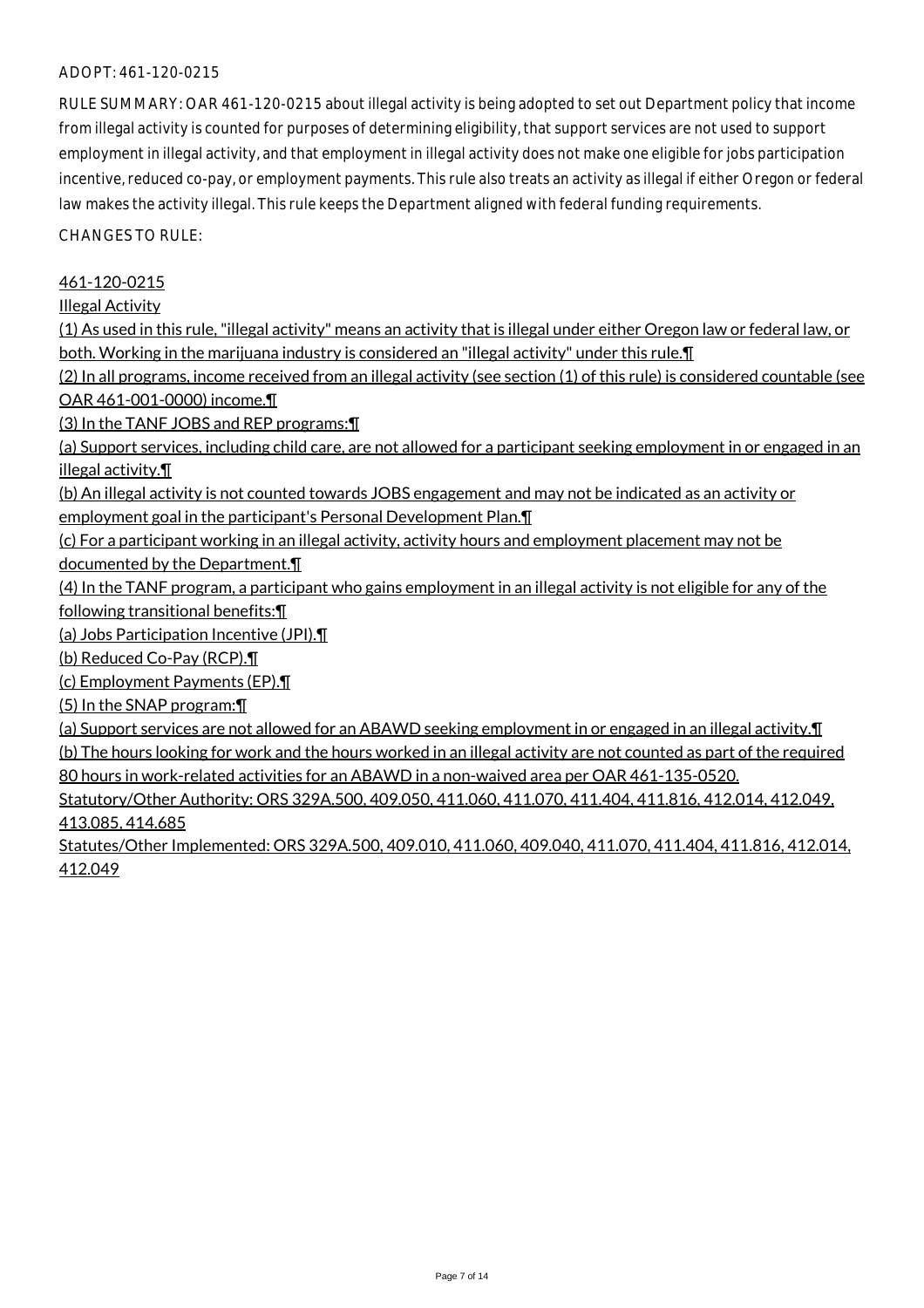#### ADOPT: 461-120-0215

RULE SUMMARY: OAR 461-120-0215 about illegal activity is being adopted to set out Department policy that income from illegal activity is counted for purposes of determining eligibility, that support services are not used to support employment in illegal activity, and that employment in illegal activity does not make one eligible for jobs participation incentive, reduced co-pay, or employment payments. This rule also treats an activity as illegal if either Oregon or federal law makes the activity illegal. This rule keeps the Department aligned with federal funding requirements.

CHANGES TO RULE:

### 461-120-0215

Illegal Activity

(1) As used in this rule, "illegal activity" means an activity that is illegal under either Oregon law or federal law, or both. Working in the marijuana industry is considered an "illegal activity" under this rule.¶

(2) In all programs, income received from an illegal activity (see section (1) of this rule) is considered countable (see OAR 461-001-0000) income.¶

(3) In the TANF JOBS and REP programs:¶

(a) Support services, including child care, are not allowed for a participant seeking employment in or engaged in an illegal activity.¶

(b) An illegal activity is not counted towards JOBS engagement and may not be indicated as an activity or employment goal in the participant's Personal Development Plan.¶

(c) For a participant working in an illegal activity, activity hours and employment placement may not be documented by the Department.¶

(4) In the TANF program, a participant who gains employment in an illegal activity is not eligible for any of the following transitional benefits:¶

(a) Jobs Participation Incentive (JPI).¶

(b) Reduced Co-Pay (RCP).¶

(c) Employment Payments (EP).¶

(5) In the SNAP program:¶

(a) Support services are not allowed for an ABAWD seeking employment in or engaged in an illegal activity.¶ (b) The hours looking for work and the hours worked in an illegal activity are not counted as part of the required 80 hours in work-related activities for an ABAWD in a non-waived area per OAR 461-135-0520.

Statutory/Other Authority: ORS 329A.500, 409.050, 411.060, 411.070, 411.404, 411.816, 412.014, 412.049, 413.085, 414.685

Statutes/Other Implemented: ORS 329A.500, 409.010, 411.060, 409.040, 411.070, 411.404, 411.816, 412.014, 412.049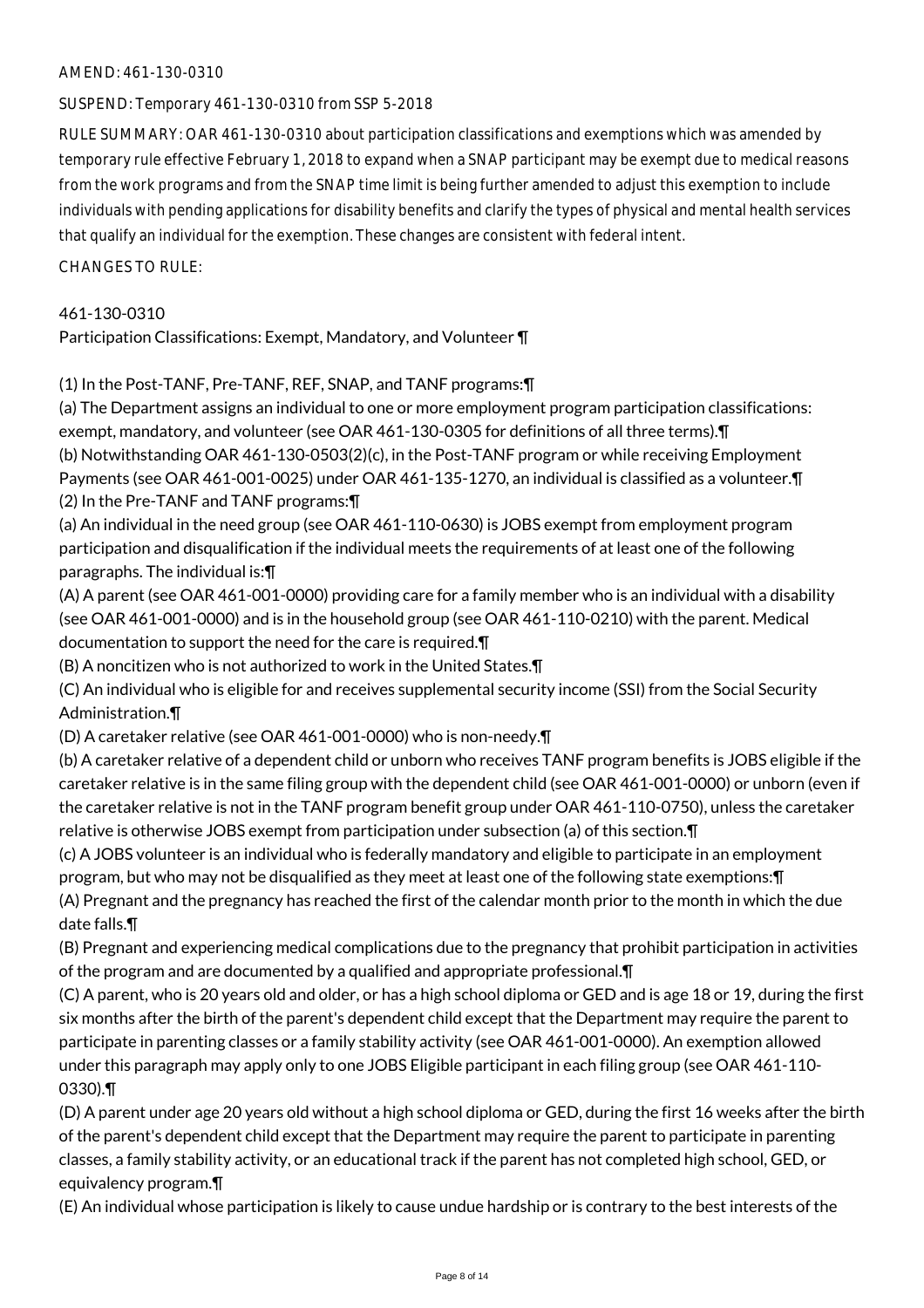### AMEND: 461-130-0310

SUSPEND: Temporary 461-130-0310 from SSP 5-2018

RULE SUMMARY: OAR 461-130-0310 about participation classifications and exemptions which was amended by temporary rule effective February 1, 2018 to expand when a SNAP participant may be exempt due to medical reasons from the work programs and from the SNAP time limit is being further amended to adjust this exemption to include individuals with pending applications for disability benefits and clarify the types of physical and mental health services that qualify an individual for the exemption. These changes are consistent with federal intent.

CHANGES TO RULE:

461-130-0310

Participation Classifications: Exempt, Mandatory, and Volunteer ¶

(1) In the Post-TANF, Pre-TANF, REF, SNAP, and TANF programs:¶

(a) The Department assigns an individual to one or more employment program participation classifications: exempt, mandatory, and volunteer (see OAR 461-130-0305 for definitions of all three terms).¶ (b) Notwithstanding OAR 461-130-0503(2)(c), in the Post-TANF program or while receiving Employment Payments (see OAR 461-001-0025) under OAR 461-135-1270, an individual is classified as a volunteer.¶

(2) In the Pre-TANF and TANF programs:¶

(a) An individual in the need group (see OAR 461-110-0630) is JOBS exempt from employment program participation and disqualification if the individual meets the requirements of at least one of the following paragraphs. The individual is:¶

(A) A parent (see OAR 461-001-0000) providing care for a family member who is an individual with a disability (see OAR 461-001-0000) and is in the household group (see OAR 461-110-0210) with the parent. Medical documentation to support the need for the care is required.¶

(B) A noncitizen who is not authorized to work in the United States.¶

(C) An individual who is eligible for and receives supplemental security income (SSI) from the Social Security Administration.¶

(D) A caretaker relative (see OAR 461-001-0000) who is non-needy.¶

(b) A caretaker relative of a dependent child or unborn who receives TANF program benefits is JOBS eligible if the caretaker relative is in the same filing group with the dependent child (see OAR 461-001-0000) or unborn (even if the caretaker relative is not in the TANF program benefit group under OAR 461-110-0750), unless the caretaker relative is otherwise JOBS exempt from participation under subsection (a) of this section.¶

(c) A JOBS volunteer is an individual who is federally mandatory and eligible to participate in an employment program, but who may not be disqualified as they meet at least one of the following state exemptions:¶ (A) Pregnant and the pregnancy has reached the first of the calendar month prior to the month in which the due date falls.¶

(B) Pregnant and experiencing medical complications due to the pregnancy that prohibit participation in activities of the program and are documented by a qualified and appropriate professional.¶

(C) A parent, who is 20 years old and older, or has a high school diploma or GED and is age 18 or 19, during the first six months after the birth of the parent's dependent child except that the Department may require the parent to participate in parenting classes or a family stability activity (see OAR 461-001-0000). An exemption allowed under this paragraph may apply only to one JOBS Eligible participant in each filing group (see OAR 461-110- 0330).¶

(D) A parent under age 20 years old without a high school diploma or GED, during the first 16 weeks after the birth of the parent's dependent child except that the Department may require the parent to participate in parenting classes, a family stability activity, or an educational track if the parent has not completed high school, GED, or equivalency program.¶

(E) An individual whose participation is likely to cause undue hardship or is contrary to the best interests of the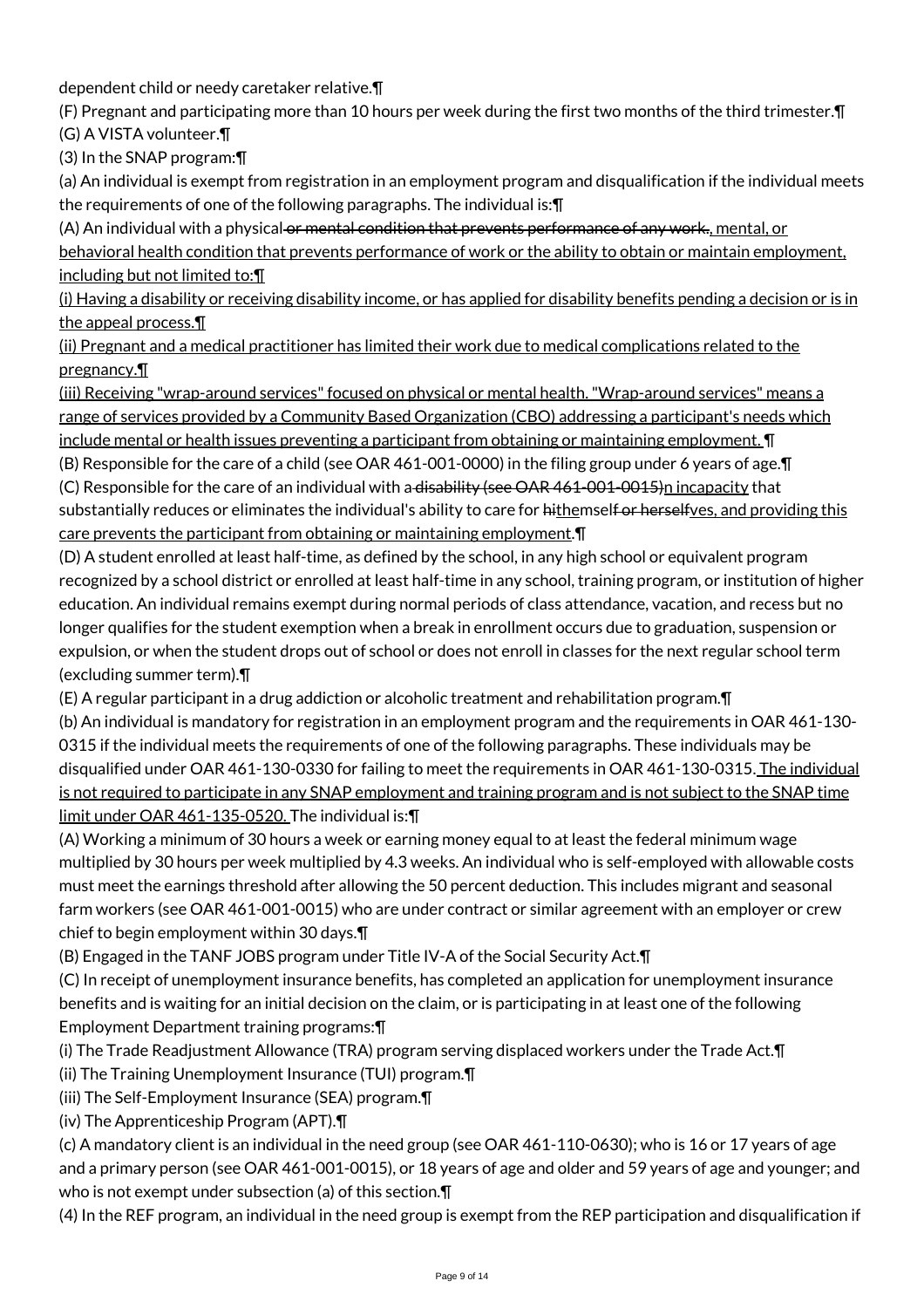dependent child or needy caretaker relative.¶

(F) Pregnant and participating more than 10 hours per week during the first two months of the third trimester.¶ (G) A VISTA volunteer.¶

(3) In the SNAP program:¶

(a) An individual is exempt from registration in an employment program and disqualification if the individual meets the requirements of one of the following paragraphs. The individual is:¶

(A) An individual with a physical or mental condition that prevents performance of any work., mental, or behavioral health condition that prevents performance of work or the ability to obtain or maintain employment, including but not limited to:¶

(i) Having a disability or receiving disability income, or has applied for disability benefits pending a decision or is in the appeal process.¶

(ii) Pregnant and a medical practitioner has limited their work due to medical complications related to the pregnancy.¶

(iii) Receiving "wrap-around services" focused on physical or mental health. "Wrap-around services" means a range of services provided by a Community Based Organization (CBO) addressing a participant's needs which include mental or health issues preventing a participant from obtaining or maintaining employment. ¶

(B) Responsible for the care of a child (see OAR 461-001-0000) in the filing group under 6 years of age.¶ (C) Responsible for the care of an individual with a  $d$  is a bility (see OAR 461-001-0015)n incapacity that

substantially reduces or eliminates the individual's ability to care for hithemself or herselfves, and providing this care prevents the participant from obtaining or maintaining employment.¶

(D) A student enrolled at least half-time, as defined by the school, in any high school or equivalent program recognized by a school district or enrolled at least half-time in any school, training program, or institution of higher education. An individual remains exempt during normal periods of class attendance, vacation, and recess but no longer qualifies for the student exemption when a break in enrollment occurs due to graduation, suspension or expulsion, or when the student drops out of school or does not enroll in classes for the next regular school term (excluding summer term).¶

(E) A regular participant in a drug addiction or alcoholic treatment and rehabilitation program.¶

(b) An individual is mandatory for registration in an employment program and the requirements in OAR 461-130- 0315 if the individual meets the requirements of one of the following paragraphs. These individuals may be disqualified under OAR 461-130-0330 for failing to meet the requirements in OAR 461-130-0315. The individual is not required to participate in any SNAP employment and training program and is not subject to the SNAP time limit under OAR 461-135-0520. The individual is:¶

(A) Working a minimum of 30 hours a week or earning money equal to at least the federal minimum wage multiplied by 30 hours per week multiplied by 4.3 weeks. An individual who is self-employed with allowable costs must meet the earnings threshold after allowing the 50 percent deduction. This includes migrant and seasonal farm workers (see OAR 461-001-0015) who are under contract or similar agreement with an employer or crew chief to begin employment within 30 days.¶

(B) Engaged in the TANF JOBS program under Title IV-A of the Social Security Act.¶

(C) In receipt of unemployment insurance benefits, has completed an application for unemployment insurance benefits and is waiting for an initial decision on the claim, or is participating in at least one of the following Employment Department training programs:¶

(i) The Trade Readjustment Allowance (TRA) program serving displaced workers under the Trade Act.¶

(ii) The Training Unemployment Insurance (TUI) program.¶

(iii) The Self-Employment Insurance (SEA) program.¶

(iv) The Apprenticeship Program (APT).¶

(c) A mandatory client is an individual in the need group (see OAR 461-110-0630); who is 16 or 17 years of age and a primary person (see OAR 461-001-0015), or 18 years of age and older and 59 years of age and younger; and who is not exempt under subsection (a) of this section.¶

(4) In the REF program, an individual in the need group is exempt from the REP participation and disqualification if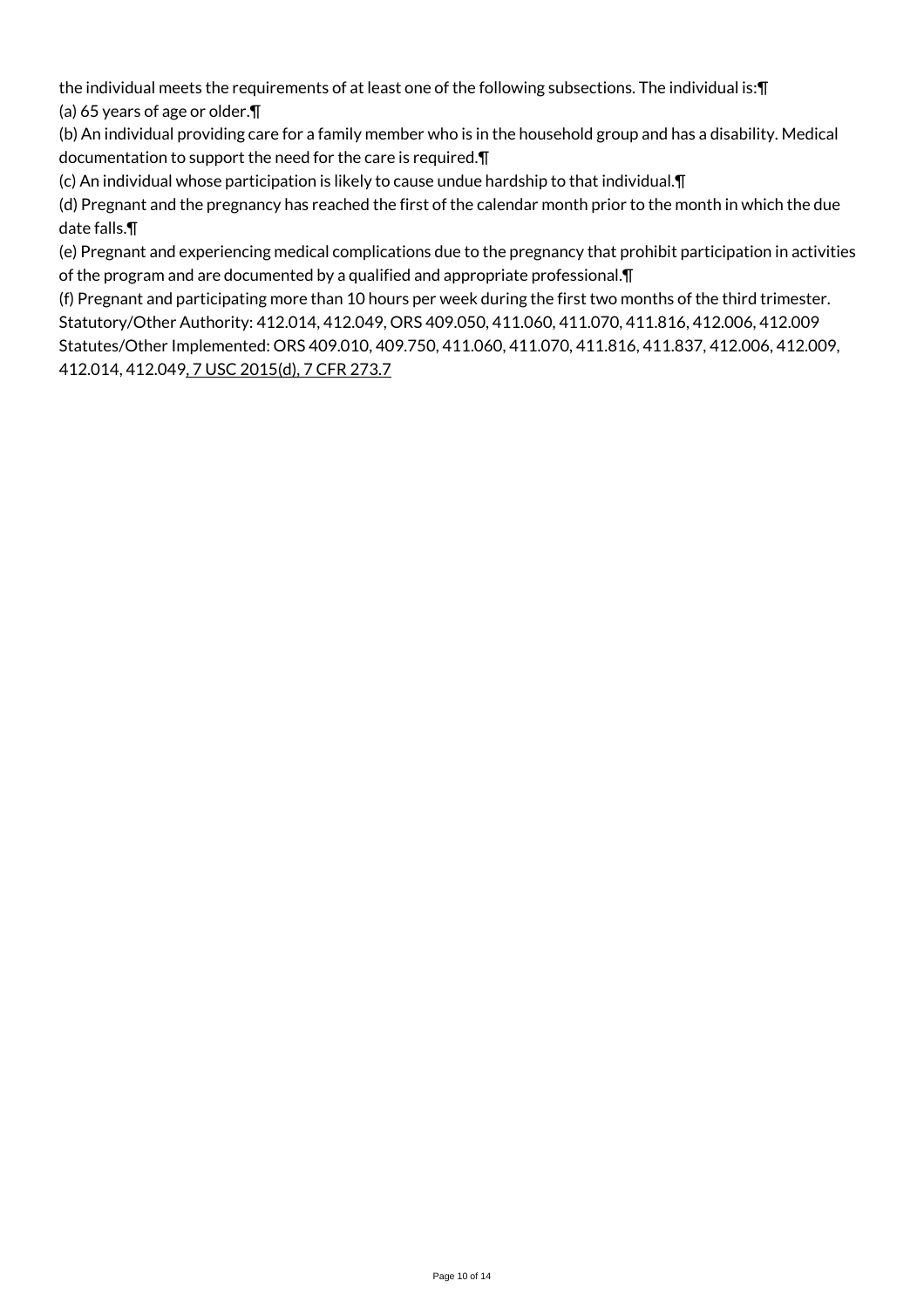the individual meets the requirements of at least one of the following subsections. The individual is:¶ (a) 65 years of age or older.¶

(b) An individual providing care for a family member who is in the household group and has a disability. Medical documentation to support the need for the care is required.¶

(c) An individual whose participation is likely to cause undue hardship to that individual.¶

(d) Pregnant and the pregnancy has reached the first of the calendar month prior to the month in which the due date falls.¶

(e) Pregnant and experiencing medical complications due to the pregnancy that prohibit participation in activities of the program and are documented by a qualified and appropriate professional.¶

(f) Pregnant and participating more than 10 hours per week during the first two months of the third trimester. Statutory/Other Authority: 412.014, 412.049, ORS 409.050, 411.060, 411.070, 411.816, 412.006, 412.009 Statutes/Other Implemented: ORS 409.010, 409.750, 411.060, 411.070, 411.816, 411.837, 412.006, 412.009, 412.014, 412.049, 7 USC 2015(d), 7 CFR 273.7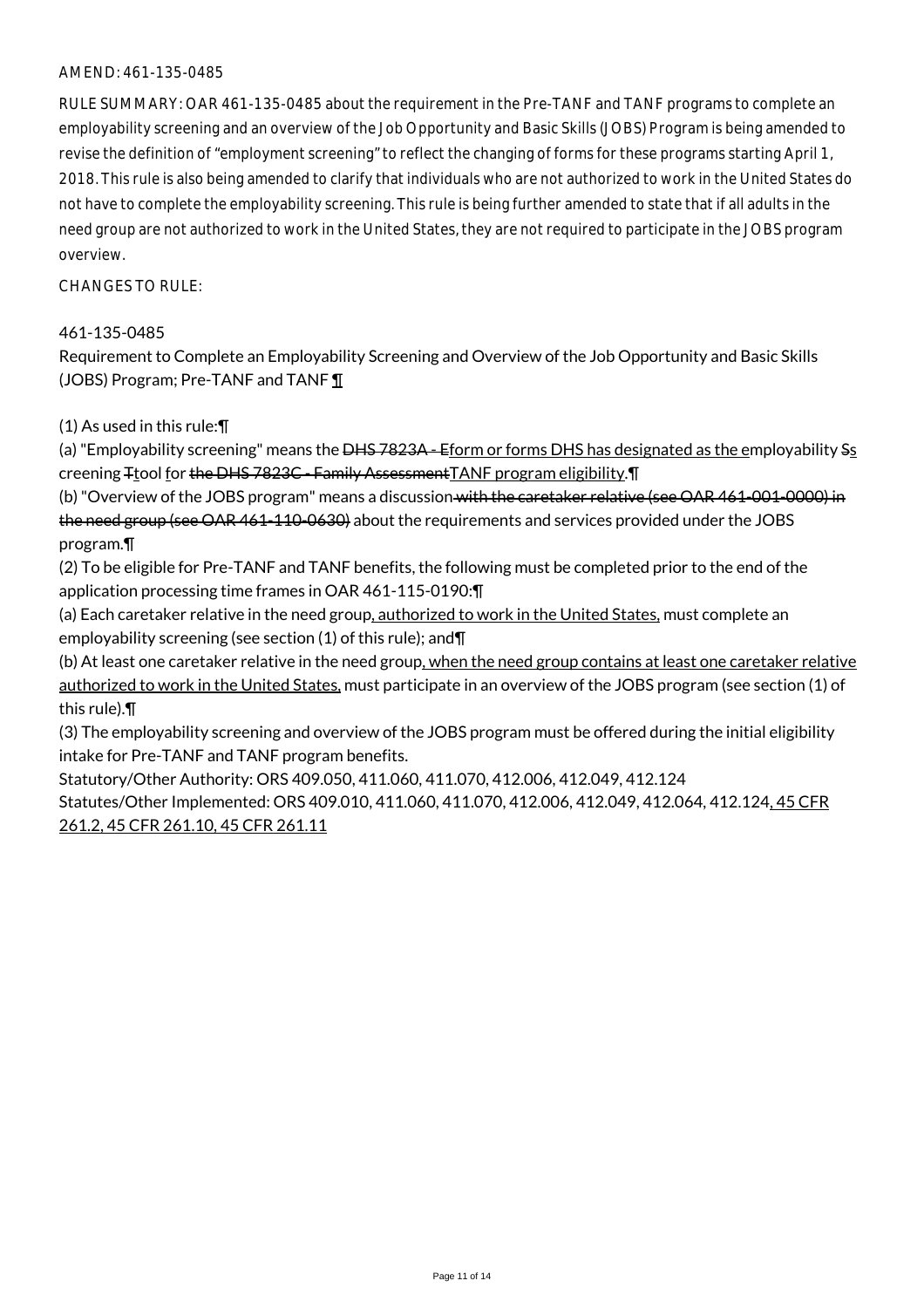#### AMEND: 461-135-0485

RULE SUMMARY: OAR 461-135-0485 about the requirement in the Pre-TANF and TANF programs to complete an employability screening and an overview of the Job Opportunity and Basic Skills (JOBS) Program is being amended to revise the definition of "employment screening" to reflect the changing of forms for these programs starting April 1, 2018. This rule is also being amended to clarify that individuals who are not authorized to work in the United States do not have to complete the employability screening. This rule is being further amended to state that if all adults in the need group are not authorized to work in the United States, they are not required to participate in the JOBS program overview.

#### $CHANGFS TO RIIF$

#### 461-135-0485

Requirement to Complete an Employability Screening and Overview of the Job Opportunity and Basic Skills (JOBS) Program; Pre-TANF and TANF ¶

(1) As used in this rule:¶

(a) "Employability screening" means the <del>DHS 7823A - Eform or forms DHS</del> has designated as the employability Ss creening Ttool for the DHS 7823C - Family Assessment TANF program eligibility. T

(b) "Overview of the JOBS program" means a discussion with the caretaker relative (see OAR 461-001-0000) in the need group (see OAR 461-110-0630) about the requirements and services provided under the JOBS program.¶

(2) To be eligible for Pre-TANF and TANF benefits, the following must be completed prior to the end of the application processing time frames in OAR 461-115-0190:¶

(a) Each caretaker relative in the need group, authorized to work in the United States, must complete an employability screening (see section (1) of this rule); and¶

(b) At least one caretaker relative in the need group, when the need group contains at least one caretaker relative authorized to work in the United States, must participate in an overview of the JOBS program (see section (1) of this rule).¶

(3) The employability screening and overview of the JOBS program must be offered during the initial eligibility intake for Pre-TANF and TANF program benefits.

Statutory/Other Authority: ORS 409.050, 411.060, 411.070, 412.006, 412.049, 412.124 Statutes/Other Implemented: ORS 409.010, 411.060, 411.070, 412.006, 412.049, 412.064, 412.124, 45 CFR 261.2, 45 CFR 261.10, 45 CFR 261.11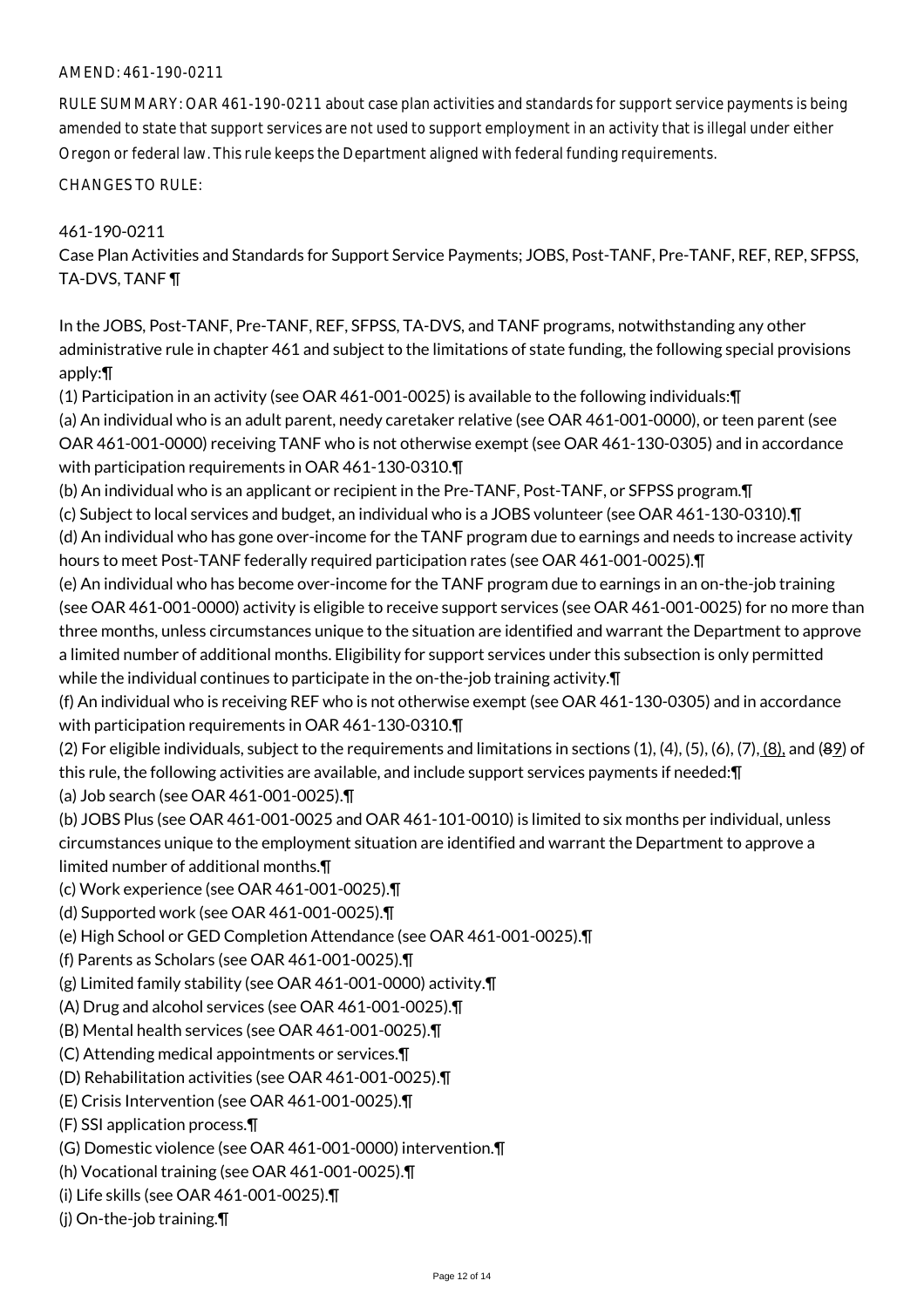### AMEND: 461-190-0211

RULE SUMMARY: OAR 461-190-0211 about case plan activities and standards for support service payments is being amended to state that support services are not used to support employment in an activity that is illegal under either Oregon or federal law. This rule keeps the Department aligned with federal funding requirements.

CHANGES TO RULE:

## 461-190-0211

Case Plan Activities and Standards for Support Service Payments; JOBS, Post-TANF, Pre-TANF, REF, REP, SFPSS, TA-DVS, TANF ¶

In the JOBS, Post-TANF, Pre-TANF, REF, SFPSS, TA-DVS, and TANF programs, notwithstanding any other administrative rule in chapter 461 and subject to the limitations of state funding, the following special provisions apply:¶

(1) Participation in an activity (see OAR 461-001-0025) is available to the following individuals:¶

(a) An individual who is an adult parent, needy caretaker relative (see OAR 461-001-0000), or teen parent (see OAR 461-001-0000) receiving TANF who is not otherwise exempt (see OAR 461-130-0305) and in accordance with participation requirements in OAR 461-130-0310.¶

(b) An individual who is an applicant or recipient in the Pre-TANF, Post-TANF, or SFPSS program.¶

(c) Subject to local services and budget, an individual who is a JOBS volunteer (see OAR 461-130-0310).¶ (d) An individual who has gone over-income for the TANF program due to earnings and needs to increase activity hours to meet Post-TANF federally required participation rates (see OAR 461-001-0025).¶

(e) An individual who has become over-income for the TANF program due to earnings in an on-the-job training (see OAR 461-001-0000) activity is eligible to receive support services (see OAR 461-001-0025) for no more than three months, unless circumstances unique to the situation are identified and warrant the Department to approve a limited number of additional months. Eligibility for support services under this subsection is only permitted while the individual continues to participate in the on-the-job training activity.¶

(f) An individual who is receiving REF who is not otherwise exempt (see OAR 461-130-0305) and in accordance with participation requirements in OAR 461-130-0310.¶

(2) For eligible individuals, subject to the requirements and limitations in sections  $(1)$ ,  $(4)$ ,  $(5)$ ,  $(6)$ ,  $(7)$ ,  $(8)$ , and  $(89)$  of this rule, the following activities are available, and include support services payments if needed:¶

(a) Job search (see OAR 461-001-0025).¶

(b) JOBS Plus (see OAR 461-001-0025 and OAR 461-101-0010) is limited to six months per individual, unless circumstances unique to the employment situation are identified and warrant the Department to approve a limited number of additional months.¶

- (c) Work experience (see OAR 461-001-0025).¶
- (d) Supported work (see OAR 461-001-0025).¶
- (e) High School or GED Completion Attendance (see OAR 461-001-0025).¶
- (f) Parents as Scholars (see OAR 461-001-0025).¶
- (g) Limited family stability (see OAR 461-001-0000) activity.¶
- (A) Drug and alcohol services (see OAR 461-001-0025).¶
- (B) Mental health services (see OAR 461-001-0025).¶
- (C) Attending medical appointments or services.¶
- (D) Rehabilitation activities (see OAR 461-001-0025).¶
- (E) Crisis Intervention (see OAR 461-001-0025).¶
- (F) SSI application process.¶
- (G) Domestic violence (see OAR 461-001-0000) intervention.¶
- (h) Vocational training (see OAR 461-001-0025).¶
- (i) Life skills (see OAR 461-001-0025).¶
- (j) On-the-job training.¶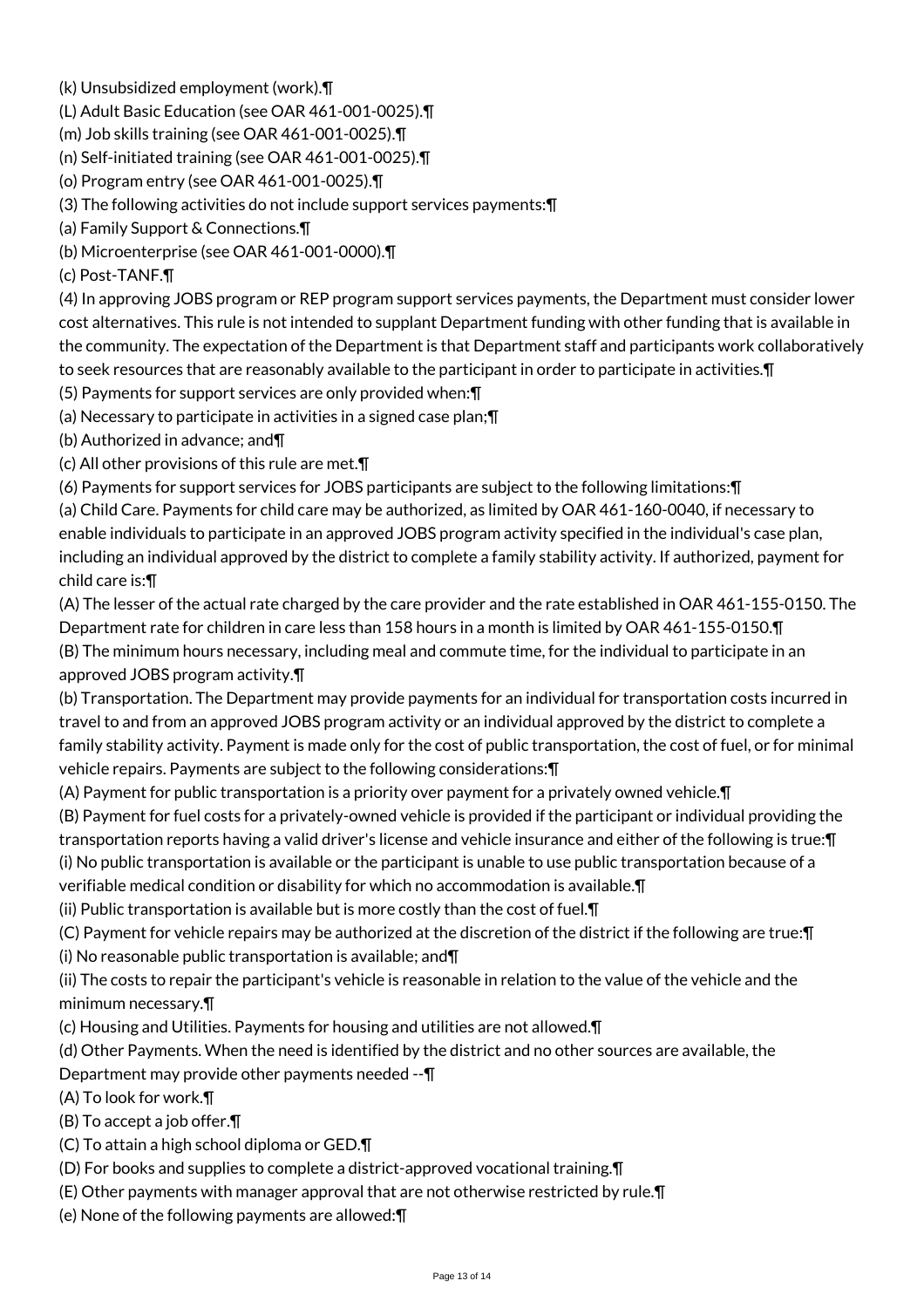- (k) Unsubsidized employment (work).¶
- (L) Adult Basic Education (see OAR 461-001-0025).¶
- (m) Job skills training (see OAR 461-001-0025).¶
- (n) Self-initiated training (see OAR 461-001-0025).¶
- (o) Program entry (see OAR 461-001-0025).¶
- (3) The following activities do not include support services payments:¶
- (a) Family Support & Connections.¶
- (b) Microenterprise (see OAR 461-001-0000).¶
- (c) Post-TANF.¶

(4) In approving JOBS program or REP program support services payments, the Department must consider lower cost alternatives. This rule is not intended to supplant Department funding with other funding that is available in the community. The expectation of the Department is that Department staff and participants work collaboratively to seek resources that are reasonably available to the participant in order to participate in activities.¶

- (5) Payments for support services are only provided when:¶
- (a) Necessary to participate in activities in a signed case plan;¶
- (b) Authorized in advance; and¶
- (c) All other provisions of this rule are met.¶
- (6) Payments for support services for JOBS participants are subject to the following limitations:¶

(a) Child Care. Payments for child care may be authorized, as limited by OAR 461-160-0040, if necessary to enable individuals to participate in an approved JOBS program activity specified in the individual's case plan, including an individual approved by the district to complete a family stability activity. If authorized, payment for child care is:¶

(A) The lesser of the actual rate charged by the care provider and the rate established in OAR 461-155-0150. The Department rate for children in care less than 158 hours in a month is limited by OAR 461-155-0150.¶ (B) The minimum hours necessary, including meal and commute time, for the individual to participate in an approved JOBS program activity.¶

(b) Transportation. The Department may provide payments for an individual for transportation costs incurred in travel to and from an approved JOBS program activity or an individual approved by the district to complete a family stability activity. Payment is made only for the cost of public transportation, the cost of fuel, or for minimal vehicle repairs. Payments are subject to the following considerations:¶

- (A) Payment for public transportation is a priority over payment for a privately owned vehicle.¶ (B) Payment for fuel costs for a privately-owned vehicle is provided if the participant or individual providing the transportation reports having a valid driver's license and vehicle insurance and either of the following is true:¶ (i) No public transportation is available or the participant is unable to use public transportation because of a verifiable medical condition or disability for which no accommodation is available.¶
- (ii) Public transportation is available but is more costly than the cost of fuel.¶
- (C) Payment for vehicle repairs may be authorized at the discretion of the district if the following are true:¶ (i) No reasonable public transportation is available; and¶
- (ii) The costs to repair the participant's vehicle is reasonable in relation to the value of the vehicle and the minimum necessary.¶
- (c) Housing and Utilities. Payments for housing and utilities are not allowed.¶
- (d) Other Payments. When the need is identified by the district and no other sources are available, the
- Department may provide other payments needed --¶
- (A) To look for work.¶
- (B) To accept a job offer.¶
- (C) To attain a high school diploma or GED.¶
- (D) For books and supplies to complete a district-approved vocational training.¶
- (E) Other payments with manager approval that are not otherwise restricted by rule.¶
- (e) None of the following payments are allowed:¶